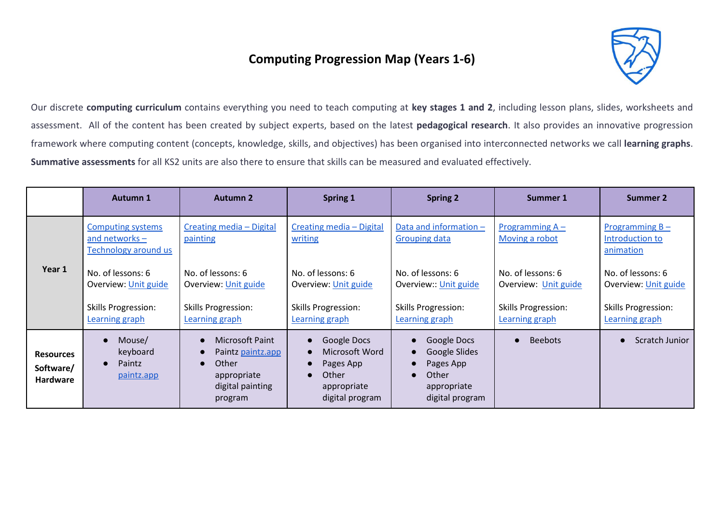## **Computing Progression Map (Years 1-6)**



Our discrete **computing curriculum** contains everything you need to teach computing at **key stages 1 and 2**, including lesson plans, slides, worksheets and assessment. All of the content has been created by subject experts, based on the latest **pedagogical research**. It also provides an innovative progression framework where computing content (concepts, knowledge, skills, and objectives) has been organised into interconnected networks we call **learning graphs**. **Summative assessments** for all KS2 units are also there to ensure that skills can be measured and evaluated effectively.

|                                                  | <b>Autumn 1</b>                                                      | <b>Autumn 2</b>                                                                             | Spring 1                                                                              | <b>Spring 2</b>                                                                                   | Summer 1                                     | <b>Summer 2</b>                                   |
|--------------------------------------------------|----------------------------------------------------------------------|---------------------------------------------------------------------------------------------|---------------------------------------------------------------------------------------|---------------------------------------------------------------------------------------------------|----------------------------------------------|---------------------------------------------------|
| Year 1                                           | <b>Computing systems</b><br>and networks $-$<br>Technology around us | Creating media - Digital<br>painting                                                        | Creating media - Digital<br>writing                                                   | Data and information -<br><b>Grouping data</b>                                                    | Programming $A -$<br>Moving a robot          | Programming $B -$<br>Introduction to<br>animation |
|                                                  | No. of lessons: 6<br>Overview: Unit guide                            | No. of lessons: 6<br>Overview: Unit guide                                                   | No. of lessons: 6<br>Overview: Unit guide                                             | No. of lessons: 6<br>Overview:: Unit guide                                                        | No. of lessons: 6<br>Overview: Unit guide    | No. of lessons: 6<br>Overview: Unit guide         |
|                                                  | <b>Skills Progression:</b><br>Learning graph                         | <b>Skills Progression:</b><br>Learning graph                                                | <b>Skills Progression:</b><br>Learning graph                                          | <b>Skills Progression:</b><br>Learning graph                                                      | <b>Skills Progression:</b><br>Learning graph | <b>Skills Progression:</b><br>Learning graph      |
| <b>Resources</b><br>Software/<br><b>Hardware</b> | Mouse/<br>keyboard<br>Paintz<br>$\bullet$<br>paintz.app              | Microsoft Paint<br>Paintz paintz.app<br>Other<br>appropriate<br>digital painting<br>program | Google Docs<br>Microsoft Word<br>Pages App<br>Other<br>appropriate<br>digital program | Google Docs<br>Google Slides<br>Pages App<br>Other<br>$\bullet$<br>appropriate<br>digital program | <b>Beebots</b><br>$\bullet$                  | Scratch Junior                                    |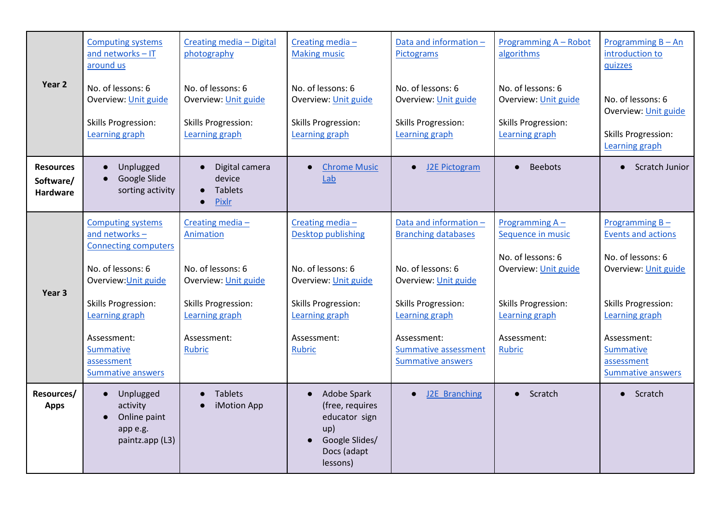| Year 2                                    | <b>Computing systems</b><br>and networks - IT<br>around us<br>No. of lessons: 6<br>Overview: Unit guide<br><b>Skills Progression:</b><br>Learning graph                                                                                            | Creating media - Digital<br>photography<br>No. of lessons: 6<br>Overview: Unit guide<br><b>Skills Progression:</b><br>Learning graph               | Creating media-<br><b>Making music</b><br>No. of lessons: 6<br>Overview: Unit guide<br><b>Skills Progression:</b><br>Learning graph                                | Data and information -<br>Pictograms<br>No. of lessons: 6<br>Overview: Unit guide<br><b>Skills Progression:</b><br>Learning graph                                                                                    | Programming A - Robot<br>algorithms<br>No. of lessons: 6<br>Overview: Unit guide<br><b>Skills Progression:</b><br>Learning graph                             | Programming $B - An$<br>introduction to<br>quizzes<br>No. of lessons: 6<br>Overview: Unit guide<br><b>Skills Progression:</b><br>Learning graph                                                                   |
|-------------------------------------------|----------------------------------------------------------------------------------------------------------------------------------------------------------------------------------------------------------------------------------------------------|----------------------------------------------------------------------------------------------------------------------------------------------------|--------------------------------------------------------------------------------------------------------------------------------------------------------------------|----------------------------------------------------------------------------------------------------------------------------------------------------------------------------------------------------------------------|--------------------------------------------------------------------------------------------------------------------------------------------------------------|-------------------------------------------------------------------------------------------------------------------------------------------------------------------------------------------------------------------|
| <b>Resources</b><br>Software/<br>Hardware | Unplugged<br>$\bullet$<br>Google Slide<br>sorting activity                                                                                                                                                                                         | Digital camera<br>device<br><b>Tablets</b><br>Pixlr                                                                                                | <b>Chrome Music</b><br>Lab                                                                                                                                         | J2E Pictogram<br>$\bullet$                                                                                                                                                                                           | <b>Beebots</b><br>$\bullet$                                                                                                                                  | Scratch Junior                                                                                                                                                                                                    |
| Year <sub>3</sub>                         | <b>Computing systems</b><br>and networks-<br><b>Connecting computers</b><br>No. of lessons: 6<br>Overview: Unit guide<br><b>Skills Progression:</b><br>Learning graph<br>Assessment:<br><b>Summative</b><br>assessment<br><b>Summative answers</b> | Creating media-<br>Animation<br>No. of lessons: 6<br>Overview: Unit guide<br><b>Skills Progression:</b><br>Learning graph<br>Assessment:<br>Rubric | Creating media-<br>Desktop publishing<br>No. of lessons: 6<br>Overview: Unit guide<br><b>Skills Progression:</b><br>Learning graph<br>Assessment:<br><b>Rubric</b> | Data and information -<br><b>Branching databases</b><br>No. of lessons: 6<br>Overview: Unit guide<br><b>Skills Progression:</b><br>Learning graph<br>Assessment:<br>Summative assessment<br><b>Summative answers</b> | Programming $A -$<br>Sequence in music<br>No. of lessons: 6<br>Overview: Unit guide<br><b>Skills Progression:</b><br>Learning graph<br>Assessment:<br>Rubric | Programming $B -$<br><b>Events and actions</b><br>No. of lessons: 6<br>Overview: Unit guide<br><b>Skills Progression:</b><br>Learning graph<br>Assessment:<br>Summative<br>assessment<br><b>Summative answers</b> |
| Resources/<br><b>Apps</b>                 | Unplugged<br>$\bullet$<br>activity<br>Online paint<br>$\bullet$<br>app e.g.<br>paintz.app (L3)                                                                                                                                                     | <b>Tablets</b><br>iMotion App                                                                                                                      | Adobe Spark<br>(free, requires<br>educator sign<br>up)<br>Google Slides/<br>Docs (adapt<br>lessons)                                                                | J2E Branching<br>$\bullet$                                                                                                                                                                                           | Scratch<br>$\bullet$                                                                                                                                         | • Scratch                                                                                                                                                                                                         |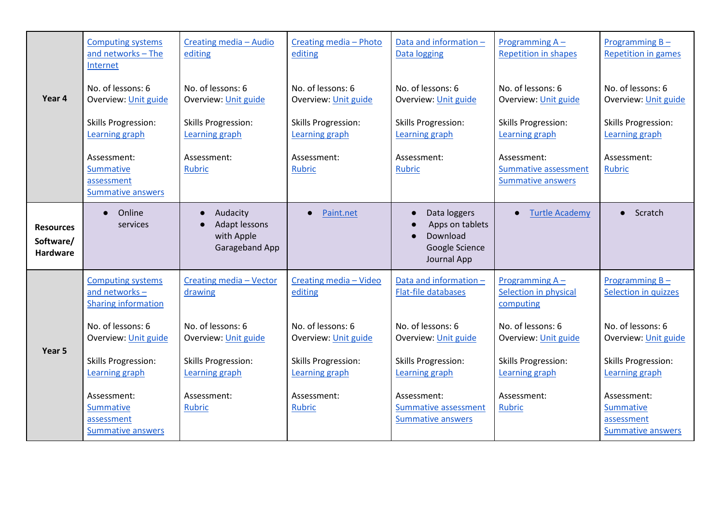|                                                  | <b>Computing systems</b><br>and networks - The<br>Internet              | Creating media - Audio<br>editing                                | Creating media - Photo<br>editing            | Data and information -<br>Data logging                                                    | Programming A -<br><b>Repetition in shapes</b>                  | Programming B-<br><b>Repetition in games</b>                |
|--------------------------------------------------|-------------------------------------------------------------------------|------------------------------------------------------------------|----------------------------------------------|-------------------------------------------------------------------------------------------|-----------------------------------------------------------------|-------------------------------------------------------------|
| Year 4                                           | No. of lessons: 6<br>Overview: Unit guide                               | No. of lessons: 6<br>Overview: Unit guide                        | No. of lessons: 6<br>Overview: Unit guide    | No. of lessons: 6<br>Overview: Unit guide                                                 | No. of lessons: 6<br>Overview: Unit guide                       | No. of lessons: 6<br>Overview: Unit guide                   |
|                                                  | <b>Skills Progression:</b><br>Learning graph                            | <b>Skills Progression:</b><br>Learning graph                     | <b>Skills Progression:</b><br>Learning graph | <b>Skills Progression:</b><br>Learning graph                                              | <b>Skills Progression:</b><br>Learning graph                    | <b>Skills Progression:</b><br>Learning graph                |
|                                                  | Assessment:<br>Summative<br>assessment<br>Summative answers             | Assessment:<br><b>Rubric</b>                                     | Assessment:<br><b>Rubric</b>                 | Assessment:<br><b>Rubric</b>                                                              | Assessment:<br>Summative assessment<br><b>Summative answers</b> | Assessment:<br><b>Rubric</b>                                |
| <b>Resources</b><br>Software/<br><b>Hardware</b> | Online<br>$\bullet$<br>services                                         | Audacity<br><b>Adapt lessons</b><br>with Apple<br>Garageband App | Paint.net                                    | Data loggers<br>Apps on tablets<br>Download<br>$\bullet$<br>Google Science<br>Journal App | <b>Turtle Academy</b>                                           | Scratch<br>$\bullet$                                        |
|                                                  | <b>Computing systems</b><br>and networks-<br><b>Sharing information</b> | Creating media - Vector<br>drawing                               | Creating media - Video<br>editing            | Data and information -<br><b>Flat-file databases</b>                                      | Programming A-<br>Selection in physical<br>computing            | Programming $B -$<br>Selection in quizzes                   |
| Year 5                                           | No. of lessons: 6<br>Overview: Unit guide                               | No. of lessons: 6<br>Overview: Unit guide                        | No. of lessons: 6<br>Overview: Unit guide    | No. of lessons: 6<br>Overview: Unit guide                                                 | No. of lessons: 6<br>Overview: Unit guide                       | No. of lessons: 6<br>Overview: Unit guide                   |
|                                                  | <b>Skills Progression:</b><br>Learning graph                            | <b>Skills Progression:</b><br>Learning graph                     | <b>Skills Progression:</b><br>Learning graph | <b>Skills Progression:</b><br>Learning graph                                              | <b>Skills Progression:</b><br>Learning graph                    | <b>Skills Progression:</b><br>Learning graph                |
|                                                  | Assessment:<br>Summative<br>assessment<br>Summative answers             | Assessment:<br>Rubric                                            | Assessment:<br><b>Rubric</b>                 | Assessment:<br>Summative assessment<br><b>Summative answers</b>                           | Assessment:<br><b>Rubric</b>                                    | Assessment:<br>Summative<br>assessment<br>Summative answers |